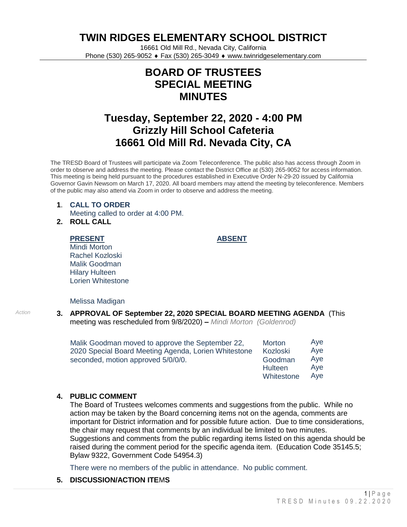**TWIN RIDGES ELEMENTARY SCHOOL DISTRICT**

16661 Old Mill Rd., Nevada City, California Phone (530) 265-9052 ♦ Fax (530) 265-3049 ♦ www.twinridgeselementary.com

# **BOARD OF TRUSTEES SPECIAL MEETING MINUTES**

# **Tuesday, September 22, 2020 - 4:00 PM Grizzly Hill School Cafeteria 16661 Old Mill Rd. Nevada City, CA**

The TRESD Board of Trustees will participate via Zoom Teleconference. The public also has access through Zoom in order to observe and address the meeting. Please contact the District Office at (530) 265-9052 for access information. This meeting is being held pursuant to the procedures established in Executive Order N-29-20 issued by California Governor Gavin Newsom on March 17, 2020. All board members may attend the meeting by teleconference. Members of the public may also attend via Zoom in order to observe and address the meeting.

## **1**. **CALL TO ORDER** Meeting called to order at 4:00 PM.

**2. ROLL CALL**

#### **PRESENT**

**ABSENT**

Mindi Morton Rachel Kozloski Malik Goodman Hilary Hulteen Lorien Whitestone

#### Melissa Madigan

## *Action* **3. APPROVAL OF September 22, 2020 SPECIAL BOARD MEETING AGENDA** (This meeting was rescheduled from 9/8/2020) **–** *Mindi Morton (Goldenrod)*

| Malik Goodman moved to approve the September 22,     | <b>Morton</b>  | Aye |
|------------------------------------------------------|----------------|-----|
| 2020 Special Board Meeting Agenda, Lorien Whitestone | Kozloski       | Aye |
| seconded, motion approved 5/0/0/0.                   | Goodman        | Ave |
|                                                      | <b>Hulteen</b> | Aye |
|                                                      | Whitestone     | Ave |

# **4. PUBLIC COMMENT**

The Board of Trustees welcomes comments and suggestions from the public. While no action may be taken by the Board concerning items not on the agenda, comments are important for District information and for possible future action. Due to time considerations, the chair may request that comments by an individual be limited to two minutes. Suggestions and comments from the public regarding items listed on this agenda should be raised during the comment period for the specific agenda item. (Education Code 35145.5; Bylaw 9322, Government Code 54954.3)

There were no members of the public in attendance. No public comment.

# **5. DISCUSSION/ACTION ITE**M**S**